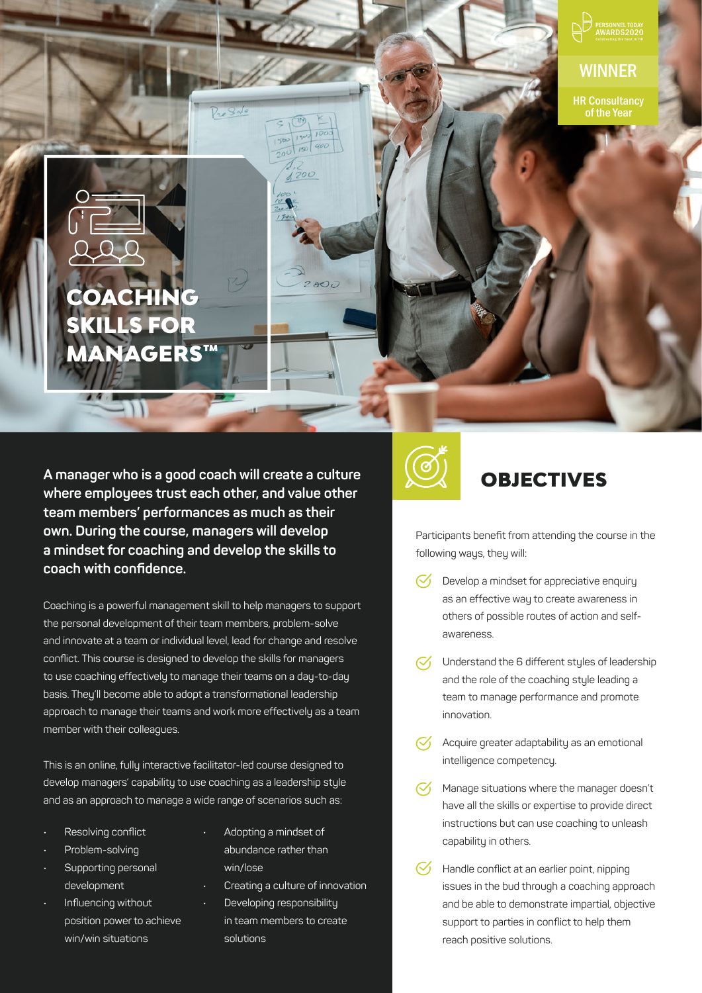

**WINNER** 

HR Consultancy of the Year

# COACHING SKILLS FOR MANAGERS™

A manager who is a good coach will create a culture **A MOBJECTIVES where employees trust each other, and value other team members' performances as much as their own. During the course, managers will develop a mindset for coaching and develop the skills to coach with confidence.** 

Coaching is a powerful management skill to help managers to support the personal development of their team members, problem-solve and innovate at a team or individual level, lead for change and resolve conflict. This course is designed to develop the skills for managers to use coaching effectively to manage their teams on a day-to-day basis. They'll become able to adopt a transformational leadership approach to manage their teams and work more effectively as a team member with their colleagues.

This is an online, fully interactive facilitator-led course designed to develop managers' capability to use coaching as a leadership style and as an approach to manage a wide range of scenarios such as:

- Resolving conflict
- Problem-solving
- Supporting personal development
- Influencing without position power to achieve win/win situations
- Adopting a mindset of abundance rather than win/lose
- Creating a culture of innovation
- Developing responsibility in team members to create solutions



Participants benefit from attending the course in the following ways, they will:

- Develop a mindset for appreciative enquiry  $\mathcal{C}'$ as an effective way to create awareness in others of possible routes of action and selfawareness.
- $\heartsuit$  Understand the 6 different styles of leadership and the role of the coaching style leading a team to manage performance and promote innovation.
- $\heartsuit$  Acquire greater adaptability as an emotional intelligence competency.
- $\mathcal{C}'$ Manage situations where the manager doesn't have all the skills or expertise to provide direct instructions but can use coaching to unleash capability in others.
- $\mathcal{C}'$ Handle conflict at an earlier point, nipping issues in the bud through a coaching approach and be able to demonstrate impartial, objective support to parties in conflict to help them reach positive solutions.